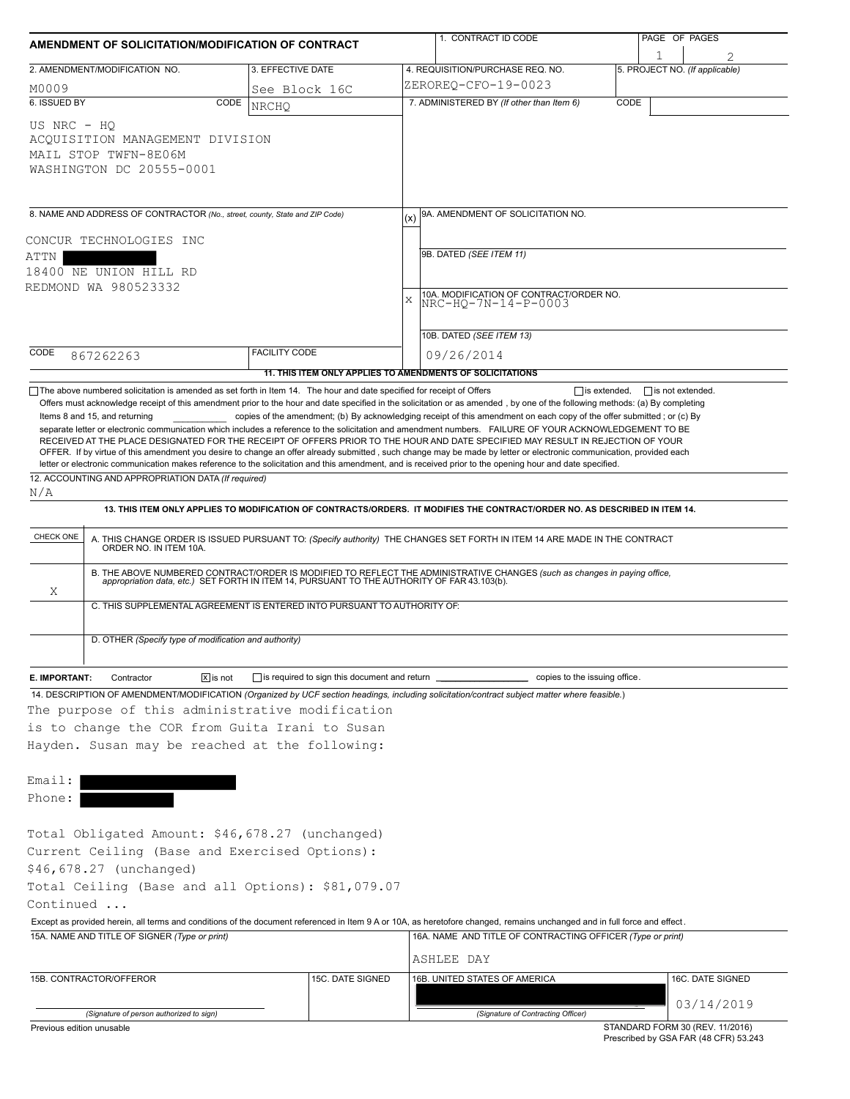|                                                                                                                                                                                                                                                                                                                                                                                                                                                                                                                                  | AMENDMENT OF SOLICITATION/MODIFICATION OF CONTRACT |                                                                                                                                                                                                                          |                                              | 1. CONTRACT ID CODE                                        |      | PAGE OF PAGES                       |  |  |
|----------------------------------------------------------------------------------------------------------------------------------------------------------------------------------------------------------------------------------------------------------------------------------------------------------------------------------------------------------------------------------------------------------------------------------------------------------------------------------------------------------------------------------|----------------------------------------------------|--------------------------------------------------------------------------------------------------------------------------------------------------------------------------------------------------------------------------|----------------------------------------------|------------------------------------------------------------|------|-------------------------------------|--|--|
| 2. AMENDMENT/MODIFICATION NO.                                                                                                                                                                                                                                                                                                                                                                                                                                                                                                    |                                                    | 3. EFFECTIVE DATE                                                                                                                                                                                                        | 4. REQUISITION/PURCHASE REQ. NO.             |                                                            |      | 1<br>5. PROJECT NO. (If applicable) |  |  |
| M0009                                                                                                                                                                                                                                                                                                                                                                                                                                                                                                                            |                                                    | See Block 16C                                                                                                                                                                                                            | ZEROREQ-CFO-19-0023                          |                                                            |      |                                     |  |  |
| 6. ISSUED BY                                                                                                                                                                                                                                                                                                                                                                                                                                                                                                                     | CODE                                               | <b>NRCHO</b>                                                                                                                                                                                                             |                                              | 7. ADMINISTERED BY (If other than Item 6)                  | CODE |                                     |  |  |
| US NRC - HO<br>ACQUISITION MANAGEMENT DIVISION<br>MAIL STOP TWFN-8E06M<br>WASHINGTON DC 20555-0001                                                                                                                                                                                                                                                                                                                                                                                                                               |                                                    |                                                                                                                                                                                                                          |                                              |                                                            |      |                                     |  |  |
| 8. NAME AND ADDRESS OF CONTRACTOR (No., street, county, State and ZIP Code)                                                                                                                                                                                                                                                                                                                                                                                                                                                      |                                                    |                                                                                                                                                                                                                          | (x)                                          | 9A. AMENDMENT OF SOLICITATION NO.                          |      |                                     |  |  |
|                                                                                                                                                                                                                                                                                                                                                                                                                                                                                                                                  |                                                    |                                                                                                                                                                                                                          |                                              |                                                            |      |                                     |  |  |
| CONCUR TECHNOLOGIES INC<br>ATTN                                                                                                                                                                                                                                                                                                                                                                                                                                                                                                  |                                                    |                                                                                                                                                                                                                          | 9B. DATED (SEE ITEM 11)                      |                                                            |      |                                     |  |  |
| 18400 NE UNION HILL RD                                                                                                                                                                                                                                                                                                                                                                                                                                                                                                           |                                                    |                                                                                                                                                                                                                          | 10A. MODIFICATION OF CONTRACT/ORDER NO.<br>X |                                                            |      |                                     |  |  |
| REDMOND WA 980523332                                                                                                                                                                                                                                                                                                                                                                                                                                                                                                             |                                                    |                                                                                                                                                                                                                          |                                              |                                                            |      |                                     |  |  |
|                                                                                                                                                                                                                                                                                                                                                                                                                                                                                                                                  |                                                    |                                                                                                                                                                                                                          |                                              | NRC-HQ-7N-14-P-0003                                        |      |                                     |  |  |
|                                                                                                                                                                                                                                                                                                                                                                                                                                                                                                                                  |                                                    |                                                                                                                                                                                                                          | 10B. DATED (SEE ITEM 13)                     |                                                            |      |                                     |  |  |
| CODE<br>867262263                                                                                                                                                                                                                                                                                                                                                                                                                                                                                                                |                                                    | <b>FACILITY CODE</b>                                                                                                                                                                                                     | 09/26/2014                                   |                                                            |      |                                     |  |  |
|                                                                                                                                                                                                                                                                                                                                                                                                                                                                                                                                  |                                                    | 11. THIS ITEM ONLY APPLIES TO AMENDMENTS OF SOLICITATIONS                                                                                                                                                                |                                              |                                                            |      |                                     |  |  |
| RECEIVED AT THE PLACE DESIGNATED FOR THE RECEIPT OF OFFERS PRIOR TO THE HOUR AND DATE SPECIFIED MAY RESULT IN REJECTION OF YOUR<br>OFFER. If by virtue of this amendment you desire to change an offer already submitted, such change may be made by letter or electronic communication, provided each<br>letter or electronic communication makes reference to the solicitation and this amendment, and is received prior to the opening hour and date specified.<br>12. ACCOUNTING AND APPROPRIATION DATA (If required)<br>N/A |                                                    |                                                                                                                                                                                                                          |                                              |                                                            |      |                                     |  |  |
|                                                                                                                                                                                                                                                                                                                                                                                                                                                                                                                                  |                                                    | 13. THIS ITEM ONLY APPLIES TO MODIFICATION OF CONTRACTS/ORDERS. IT MODIFIES THE CONTRACT/ORDER NO. AS DESCRIBED IN ITEM 14.                                                                                              |                                              |                                                            |      |                                     |  |  |
|                                                                                                                                                                                                                                                                                                                                                                                                                                                                                                                                  |                                                    |                                                                                                                                                                                                                          |                                              |                                                            |      |                                     |  |  |
| CHECK ONE                                                                                                                                                                                                                                                                                                                                                                                                                                                                                                                        |                                                    | A. THIS CHANGE ORDER IS ISSUED PURSUANT TO: (Specify authority) THE CHANGES SET FORTH IN ITEM 14 ARE MADE IN THE CONTRACT ORDER NO. IN ITEM 10A.                                                                         |                                              |                                                            |      |                                     |  |  |
|                                                                                                                                                                                                                                                                                                                                                                                                                                                                                                                                  |                                                    | B. THE ABOVE NUMBERED CONTRACT/ORDER IS MODIFIED TO REFLECT THE ADMINISTRATIVE CHANGES (such as changes in paying office,<br>appropriation data, etc.) SET FORTH IN ITEM 14, PURSUANT TO THE AUTHORITY OF FAR 43.103(b). |                                              |                                                            |      |                                     |  |  |
| Χ                                                                                                                                                                                                                                                                                                                                                                                                                                                                                                                                |                                                    | C. THIS SUPPLEMENTAL AGREEMENT IS ENTERED INTO PURSUANT TO AUTHORITY OF:                                                                                                                                                 |                                              |                                                            |      |                                     |  |  |
| D. OTHER (Specify type of modification and authority)                                                                                                                                                                                                                                                                                                                                                                                                                                                                            |                                                    |                                                                                                                                                                                                                          |                                              |                                                            |      |                                     |  |  |
| Contractor                                                                                                                                                                                                                                                                                                                                                                                                                                                                                                                       | $\sqrt{x}$ is not                                  | $\Box$ is required to sign this document and return                                                                                                                                                                      |                                              | copies to the issuing office.                              |      |                                     |  |  |
|                                                                                                                                                                                                                                                                                                                                                                                                                                                                                                                                  |                                                    |                                                                                                                                                                                                                          |                                              |                                                            |      |                                     |  |  |
|                                                                                                                                                                                                                                                                                                                                                                                                                                                                                                                                  |                                                    |                                                                                                                                                                                                                          |                                              |                                                            |      |                                     |  |  |
| E. IMPORTANT:<br>14. DESCRIPTION OF AMENDMENT/MODIFICATION (Organized by UCF section headings, including solicitation/contract subject matter where feasible.)<br>The purpose of this administrative modification<br>is to change the COR from Guita Irani to Susan<br>Hayden. Susan may be reached at the following:                                                                                                                                                                                                            |                                                    |                                                                                                                                                                                                                          |                                              |                                                            |      |                                     |  |  |
|                                                                                                                                                                                                                                                                                                                                                                                                                                                                                                                                  |                                                    |                                                                                                                                                                                                                          |                                              |                                                            |      |                                     |  |  |
|                                                                                                                                                                                                                                                                                                                                                                                                                                                                                                                                  |                                                    |                                                                                                                                                                                                                          |                                              |                                                            |      |                                     |  |  |
|                                                                                                                                                                                                                                                                                                                                                                                                                                                                                                                                  |                                                    |                                                                                                                                                                                                                          |                                              |                                                            |      |                                     |  |  |
|                                                                                                                                                                                                                                                                                                                                                                                                                                                                                                                                  |                                                    |                                                                                                                                                                                                                          |                                              |                                                            |      |                                     |  |  |
|                                                                                                                                                                                                                                                                                                                                                                                                                                                                                                                                  |                                                    |                                                                                                                                                                                                                          |                                              |                                                            |      |                                     |  |  |
|                                                                                                                                                                                                                                                                                                                                                                                                                                                                                                                                  |                                                    |                                                                                                                                                                                                                          |                                              |                                                            |      |                                     |  |  |
|                                                                                                                                                                                                                                                                                                                                                                                                                                                                                                                                  |                                                    |                                                                                                                                                                                                                          |                                              |                                                            |      |                                     |  |  |
|                                                                                                                                                                                                                                                                                                                                                                                                                                                                                                                                  |                                                    |                                                                                                                                                                                                                          |                                              | 16A. NAME AND TITLE OF CONTRACTING OFFICER (Type or print) |      |                                     |  |  |
| Email:<br>Phone:<br>Total Obligated Amount: \$46,678.27 (unchanged)<br>Current Ceiling (Base and Exercised Options):<br>\$46,678.27 (unchanged)<br>Total Ceiling (Base and all Options): \$81,079.07<br>Continued<br>Except as provided herein, all terms and conditions of the document referenced in Item 9 A or 10A, as heretofore changed, remains unchanged and in full force and effect.<br>15A. NAME AND TITLE OF SIGNER (Type or print)                                                                                  |                                                    |                                                                                                                                                                                                                          |                                              |                                                            |      |                                     |  |  |
|                                                                                                                                                                                                                                                                                                                                                                                                                                                                                                                                  |                                                    | 15C. DATE SIGNED                                                                                                                                                                                                         | ASHLEE DAY<br>16B. UNITED STATES OF AMERICA  |                                                            |      | 16C. DATE SIGNED                    |  |  |
| 15B. CONTRACTOR/OFFEROR                                                                                                                                                                                                                                                                                                                                                                                                                                                                                                          |                                                    |                                                                                                                                                                                                                          |                                              |                                                            |      | 03/14/2019                          |  |  |